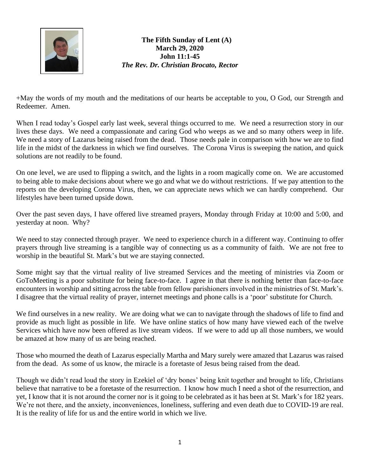

**The Fifth Sunday of Lent (A) March 29, 2020 John 11:1-45** *The Rev. Dr. Christian Brocato, Rector*

+May the words of my mouth and the meditations of our hearts be acceptable to you, O God, our Strength and Redeemer. Amen.

When I read today's Gospel early last week, several things occurred to me. We need a resurrection story in our lives these days. We need a compassionate and caring God who weeps as we and so many others weep in life. We need a story of Lazarus being raised from the dead. Those needs pale in comparison with how we are to find life in the midst of the darkness in which we find ourselves. The Corona Virus is sweeping the nation, and quick solutions are not readily to be found.

On one level, we are used to flipping a switch, and the lights in a room magically come on. We are accustomed to being able to make decisions about where we go and what we do without restrictions. If we pay attention to the reports on the developing Corona Virus, then, we can appreciate news which we can hardly comprehend. Our lifestyles have been turned upside down.

Over the past seven days, I have offered live streamed prayers, Monday through Friday at 10:00 and 5:00, and yesterday at noon. Why?

We need to stay connected through prayer. We need to experience church in a different way. Continuing to offer prayers through live streaming is a tangible way of connecting us as a community of faith. We are not free to worship in the beautiful St. Mark's but we are staying connected.

Some might say that the virtual reality of live streamed Services and the meeting of ministries via Zoom or GoToMeeting is a poor substitute for being face-to-face. I agree in that there is nothing better than face-to-face encounters in worship and sitting across the table from fellow parishioners involved in the ministries of St. Mark's. I disagree that the virtual reality of prayer, internet meetings and phone calls is a 'poor' substitute for Church.

We find ourselves in a new reality. We are doing what we can to navigate through the shadows of life to find and provide as much light as possible in life. We have online statics of how many have viewed each of the twelve Services which have now been offered as live stream videos. If we were to add up all those numbers, we would be amazed at how many of us are being reached.

Those who mourned the death of Lazarus especially Martha and Mary surely were amazed that Lazarus was raised from the dead. As some of us know, the miracle is a foretaste of Jesus being raised from the dead.

Though we didn't read loud the story in Ezekiel of 'dry bones' being knit together and brought to life, Christians believe that narrative to be a foretaste of the resurrection. I know how much I need a shot of the resurrection, and yet, I know that it is not around the corner nor is it going to be celebrated as it has been at St. Mark's for 182 years. We're not there, and the anxiety, inconveniences, loneliness, suffering and even death due to COVID-19 are real. It is the reality of life for us and the entire world in which we live.